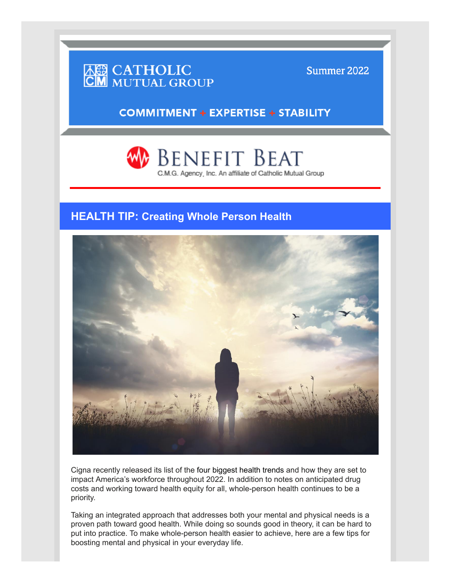

Summer 2022

**COMMITMENT + EXPERTISE + STABILITY** 

Benefit Beat C.M.G. Agency, Inc. An affiliate of Catholic Mutual Group

## **HEALTH TIP: Creating Whole Person Health**



Cigna recently released its list of the four biggest health trends and how they are set to impact America's workforce throughout 2022. In addition to notes on anticipated drug costs and working toward health equity for all, whole-person health continues to be a priority.

Taking an integrated approach that addresses both your mental and physical needs is a proven path toward good health. While doing so sounds good in theory, it can be hard to put into practice. To make whole-person health easier to achieve, here are a few tips for boosting mental and physical in your everyday life.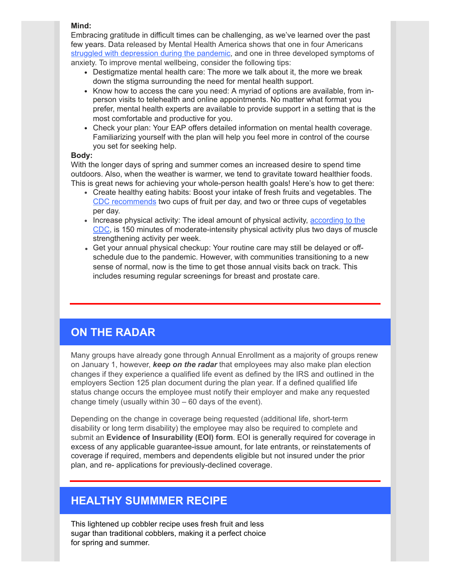#### **Mind:**

Embracing gratitude in difficult times can be challenging, as we've learned over the past few years. Data released by Mental Health America shows that one in four Americans [struggled with depression during the pandemic,](https://nam10.safelinks.protection.outlook.com/?url=http%3A%2F%2Fwww.mhanational.org%2Fresearch-reports%2F2021-state-mental-health-america&data=05%7C01%7Cgina%40pappasmarketing.com%7C577605340bd24e1f5e6508da23a330ac%7C02cff97949e149158aba29de107db235%7C0%7C0%7C637861481161919533%7CUnknown%7CTWFpbGZsb3d8eyJWIjoiMC4wLjAwMDAiLCJQIjoiV2luMzIiLCJBTiI6Ik1haWwiLCJXVCI6Mn0%3D%7C3000%7C%7C%7C&sdata=9HdXA4EvxVYgolVjCcipVkJpWlop%2FPcBGkpBCrjpbqI%3D&reserved=0) and one in three developed symptoms of anxiety. To improve mental wellbeing, consider the following tips:

- Destigmatize mental health care: The more we talk about it, the more we break down the stigma surrounding the need for mental health support.
- Know how to access the care you need: A myriad of options are available, from inperson visits to telehealth and online appointments. No matter what format you prefer, mental health experts are available to provide support in a setting that is the most comfortable and productive for you.
- Check your plan: Your EAP offers detailed information on mental health coverage. Familiarizing yourself with the plan will help you feel more in control of the course you set for seeking help.

### **Body:**

With the longer days of spring and summer comes an increased desire to spend time outdoors. Also, when the weather is warmer, we tend to gravitate toward healthier foods. This is great news for achieving your whole-person health goals! Here's how to get there:

- Create healthy eating habits: Boost your intake of fresh fruits and vegetables. The [CDC recommends](https://www.cdc.gov/media/releases/2017/p1116-fruit-vegetable-consumption.html#:~:text=Depending%20on%20their%20age%20and,of%20a%20healthy%20eating%20pattern.) two cups of fruit per day, and two or three cups of vegetables per day.
- Increase physical activity: The ideal amount of physical activity, according to the [CDC, is 150 minutes of moderate-intensity physical activity plus two days of mus](https://www.cdc.gov/physicalactivity/basics/adults/index.htm)cle strengthening activity per week.
- Get your annual physical checkup: Your routine care may still be delayed or offschedule due to the pandemic. However, with communities transitioning to a new sense of normal, now is the time to get those annual visits back on track. This includes resuming regular screenings for breast and prostate care.

# **ON THE RADAR**

Many groups have already gone through Annual Enrollment as a majority of groups renew on January 1, however, *keep on the radar* that employees may also make plan election changes if they experience a qualified life event as defined by the IRS and outlined in the employers Section 125 plan document during the plan year. If a defined qualified life status change occurs the employee must notify their employer and make any requested change timely (usually within 30 – 60 days of the event).

Depending on the change in coverage being requested (additional life, short-term disability or long term disability) the employee may also be required to complete and submit an **Evidence of Insurability (EOI) form**. EOI is generally required for coverage in excess of any applicable guarantee-issue amount, for late entrants, or reinstatements of coverage if required, members and dependents eligible but not insured under the prior plan, and re- applications for previously-declined coverage.

## **HEALTHY SUMMMER RECIPE**

This lightened up cobbler recipe uses fresh fruit and less sugar than traditional cobblers, making it a perfect choice for spring and summer.